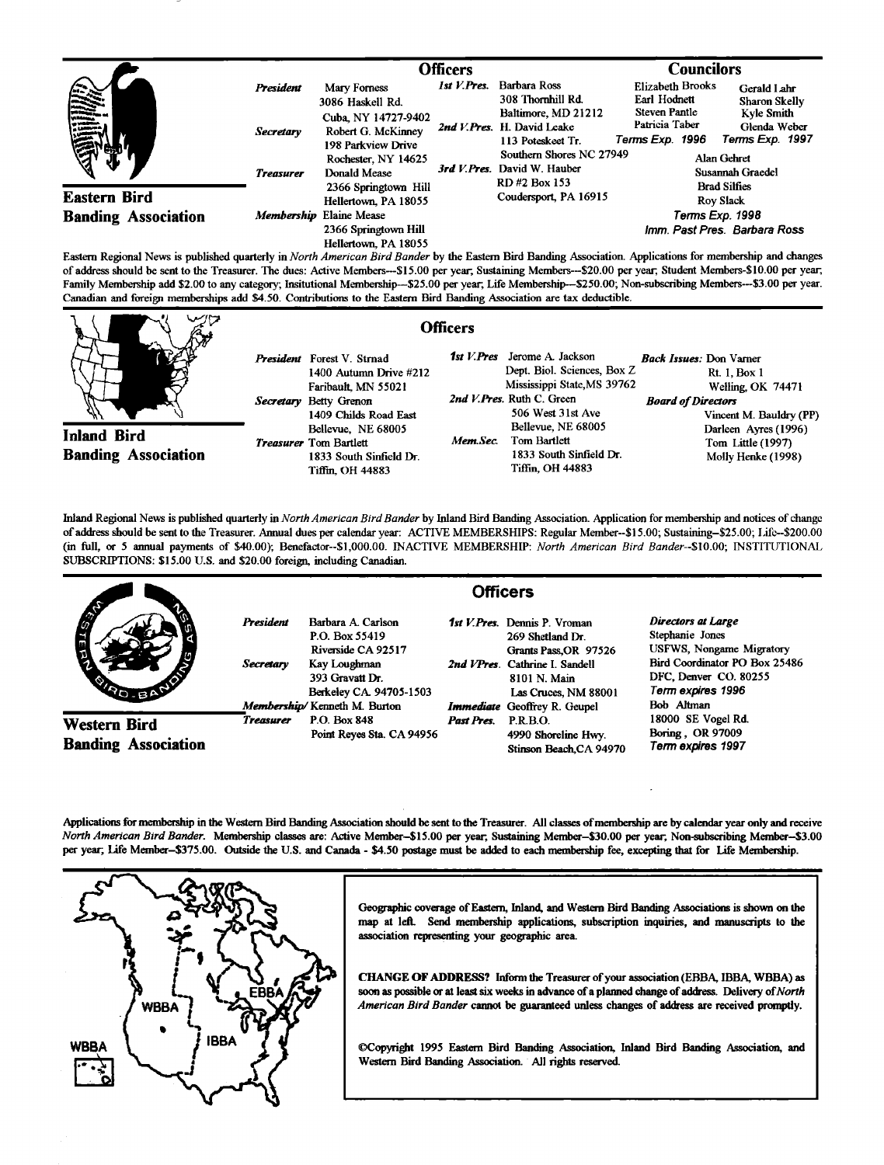|                                       |                         | Officers                                                        |                |                                                                                                                                                                                                                                                                                          | <b>Councilors</b>                                         |                                               |
|---------------------------------------|-------------------------|-----------------------------------------------------------------|----------------|------------------------------------------------------------------------------------------------------------------------------------------------------------------------------------------------------------------------------------------------------------------------------------------|-----------------------------------------------------------|-----------------------------------------------|
| <b>SERVE</b>                          | President               | Mary Forness<br>3086 Haskell Rd.                                | $1st V.$ Pres. | <b>Barbara Ross</b><br>308 Thornhill Rd.                                                                                                                                                                                                                                                 | Elizabeth Brooks<br>Earl Hodnett                          | Gerald Lahr<br>Sharon Skelly                  |
|                                       | <b>Secretary</b>        | Cuba, NY 14727-9402<br>Robert G. McKinney<br>198 Parkview Drive |                | Baltimore, MD 21212<br>2nd V.Pres. H. David Leake<br>113 Poteskeet Tr.                                                                                                                                                                                                                   | <b>Steven Pantle</b><br>Patricia Taber<br>Terms Exp. 1996 | Kyle Smith<br>Glenda Weber<br>Terms Exp. 1997 |
|                                       | <b>Treasurer</b>        | Rochester, NY 14625<br>Donald Mease                             |                | Southern Shores NC 27949<br>3rd V. Pres. David W. Hauber<br>RD#2 Box 153                                                                                                                                                                                                                 |                                                           | Alan Gehret<br>Susannah Graedel               |
| <b>Eastern Bird</b>                   |                         | 2366 Springtown Hill<br>Hellertown, PA 18055                    |                | Coudersport, PA 16915                                                                                                                                                                                                                                                                    |                                                           | <b>Brad Silfies</b><br><b>Rov Slack</b>       |
| <b>Banding Association</b><br>- - - - | Membership Elaine Mease |                                                                 |                | Terms Exp. 1998                                                                                                                                                                                                                                                                          |                                                           |                                               |
|                                       |                         | 2366 Springtown Hill<br>Hellertown, PA 18055<br>.               |                | $\mathbf{r}$ , and $\mathbf{r}$ , and $\mathbf{r}$ , and $\mathbf{r}$ , and $\mathbf{r}$ , and $\mathbf{r}$ , and $\mathbf{r}$ , and $\mathbf{r}$ , and $\mathbf{r}$ , and $\mathbf{r}$ , and $\mathbf{r}$ , and $\mathbf{r}$ , and $\mathbf{r}$ , and $\mathbf{r}$ , and $\mathbf{r}$ , |                                                           | Imm. Past Pres. Barbara Ross                  |

**Eastern Regional News is published quarterly in North American Bird Bander by the Eastern Bird Banding Association. Applications for membership and changes**  of address should be sent to the Treasurer. The dues: Active Members---\$15.00 per year, Sustaining Members---\$20.00 per year, Student Members-\$10.00 per year, Family Membership add \$2.00 to any category; Insitutional Membership--\$25.00 per year, Life Membership--\$250.00; Non-subscribing Members---\$3.00 per year. **Canadian and foreign memberships add \$4.50. Contributions to the Eastern Bird Banding Association are tax deductible.** 

|                                                  | <b>Officers</b>                                                                                                                           |                                                                                                                                                 |                                                                                                                                    |
|--------------------------------------------------|-------------------------------------------------------------------------------------------------------------------------------------------|-------------------------------------------------------------------------------------------------------------------------------------------------|------------------------------------------------------------------------------------------------------------------------------------|
|                                                  | <b>President</b> Forest V. Strnad<br>$1400$ Autumn Drive $#212$<br>Faribault, MN 55021<br>Secretary Betty Grenon<br>1409 Childs Road East | 1st V.Pres<br>Jerome A. Jackson<br>Dept. Biol. Sciences, Box Z<br>Mississippi State, MS 39762<br>2nd V.Pres. Ruth C. Green<br>506 West 31st Ave | <b>Back Issues: Don Varner</b><br><b>Rt. 1, Box 1</b><br>Welling, OK 74471<br><b>Board of Directors</b><br>Vincent M. Bauldry (PP) |
| <b>Inland Bird</b><br><b>Banding Association</b> | Bellevue, NE 68005<br><i>Treasurer</i> Tom Bartlett<br>1833 South Sinfield Dr.<br>Tiffin, OH 44883                                        | Bellevue, NE 68005<br>Tom Bartlett<br>Mem Sec.<br>1833 South Sinfield Dr.<br>Tiffin, OH 44883                                                   | Darleen Ayres (1996)<br>Tom Little (1997)<br>Molly Henke (1998)                                                                    |

**Inland Regional News is published quarterly in North American Bird Bander by Inland Bird Banding Association. Application for membemhip and notices of change**  of address should be sent to the Treasurer. Annual dues per calendar year: ACTIVE MEMBERSHIPS: Regular Member--\$15.00; Sustaining-\$25.00; Lifc--\$200.00 **(in full, or 5 armual payments of \$40.00); Benefactor--S1,000.00. INACTIVE MEMBERSHIP: North American Bird Bander--S10.00; INSTITUTIONAL**  SUBSCRIPTIONS: \$15.00 U.S. and \$20.00 foreign, including Canadian.

|                                            |                               | <b>Officers</b>                                                                                                          |            |                                                                                                                                                             |                                                                                                                                                  |  |  |
|--------------------------------------------|-------------------------------|--------------------------------------------------------------------------------------------------------------------------|------------|-------------------------------------------------------------------------------------------------------------------------------------------------------------|--------------------------------------------------------------------------------------------------------------------------------------------------|--|--|
| <b>CONTROL</b><br><b>CARLO BA</b>          | <b>President</b><br>Secretary | Barbara A. Carlson<br>P.O. Box 55419<br>Riverside CA 92517<br>Kay Loughman<br>393 Gravatt Dr.<br>Berkeley CA. 94705-1503 |            | <b>1st V. Pres.</b> Dennis P. Vroman<br>269 Shetland Dr.<br>Grants Pass, OR 97526<br>2nd VPres. Cathrine I. Sandell<br>8101 N. Main<br>Las Cruces, NM 88001 | Directors at Large<br>Stephanie Jones<br>USFWS, Nongame Migratory<br>Bird Coordinator PO Box 25486<br>DFC, Denver CO. 80255<br>Term expires 1996 |  |  |
| Western Bird<br><b>Banding Association</b> | <b>Treasurer</b>              | Membership/Kenneth M. Burton<br>P.O. Box 848<br>Point Reves Sta. CA 94956                                                | Past Pres. | <b>Immediate</b> Geoffrey R. Geupel<br>P.R.B.O.<br>4990 Shoreline Hwy.<br>Stinson Beach, CA 94970                                                           | Bob Altman<br>18000 SE Vogel Rd.<br>Boring , OR 97009<br>Term expires 1997                                                                       |  |  |

Applications for membership in the Western Bird Banding Association should be sent to the Treasurer. All classes of membership are by calendar year only and receive North American Bird Bander. Membership classes are: Active Member-\$15.00 per year, Sustaining Member-\$30.00 per year, Non-subscribing Member-\$3.00 per year; Life Member-\$375.00. Outside the U.S. and Canada - \$4.50 postage must be added to each membership fee, excepting that for Life Membership.



Geographic coverage of Eastern, Inland, and Western Bird Banding Associations is shown on the map at left. Send membership applications, subscription inquiries, and manuscripts to the **association representing your geographic area.** 

**CHANGE OF ADDRESS? Inform the Treasurer of your association (EBB& IBBA, WBBA) as**  soon as possible or at least six weeks in advance of a planned change of address. Delivery of North **American Bird Bander cannot be guarardeed unless changes of address are received promptly.** 

**•Copyright 1995 Easton Bird Banding Association, Inland Bird Banding Association, and**  Western Bird Banding Association. All rights reserved.